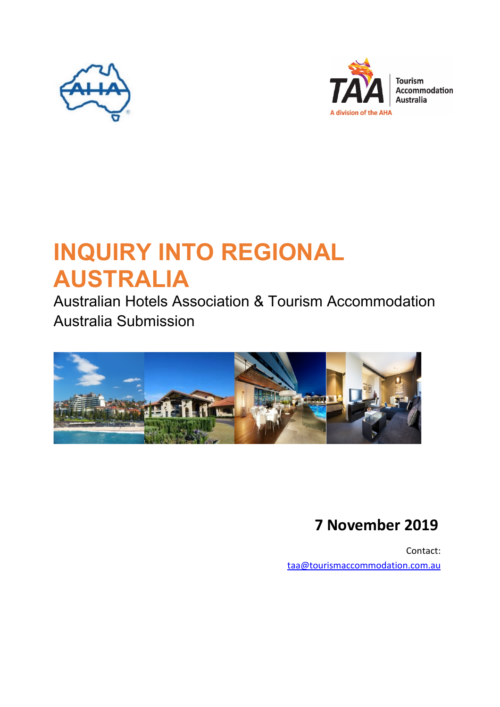



# **INQUIRY INTO REGIONAL AUSTRALIA**

Australian Hotels Association & Tourism Accommodation Australia Submission



## **7 November 2019**

Contact: [taa@tourismaccommodation.com.au](mailto:taa@tourismaccommodation.com.au)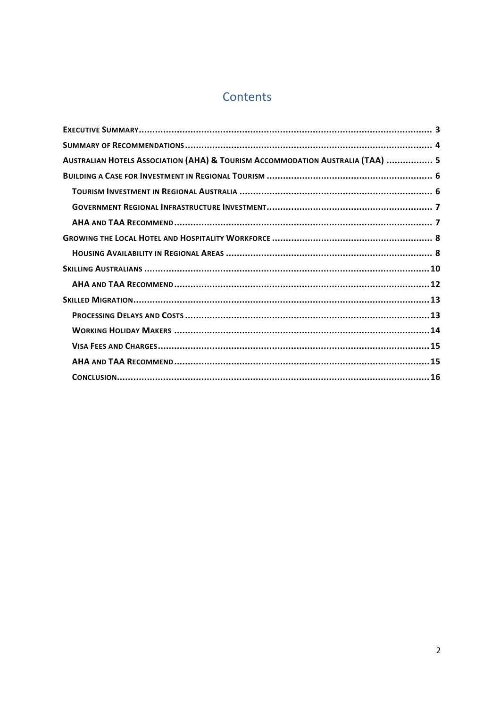### Contents

| AUSTRALIAN HOTELS ASSOCIATION (AHA) & TOURISM ACCOMMODATION AUSTRALIA (TAA)  5 |  |
|--------------------------------------------------------------------------------|--|
|                                                                                |  |
|                                                                                |  |
|                                                                                |  |
|                                                                                |  |
|                                                                                |  |
|                                                                                |  |
|                                                                                |  |
|                                                                                |  |
|                                                                                |  |
|                                                                                |  |
|                                                                                |  |
|                                                                                |  |
|                                                                                |  |
|                                                                                |  |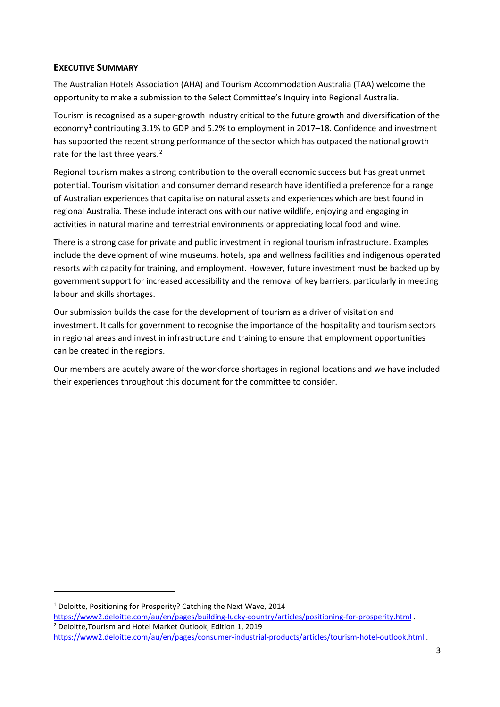#### <span id="page-2-0"></span>**EXECUTIVE SUMMARY**

The Australian Hotels Association (AHA) and Tourism Accommodation Australia (TAA) welcome the opportunity to make a submission to the Select Committee's Inquiry into Regional Australia.

Tourism is recognised as a super-growth industry critical to the future growth and diversification of the economy<sup>[1](#page-2-1)</sup> contributing 3.1% to GDP and 5.2% to employment in 2017–18. Confidence and investment has supported the recent strong performance of the sector which has outpaced the national growth rate for the last three years.<sup>[2](#page-2-2)</sup>

Regional tourism makes a strong contribution to the overall economic success but has great unmet potential. Tourism visitation and consumer demand research have identified a preference for a range of Australian experiences that capitalise on natural assets and experiences which are best found in regional Australia. These include interactions with our native wildlife, enjoying and engaging in activities in natural marine and terrestrial environments or appreciating local food and wine.

There is a strong case for private and public investment in regional tourism infrastructure. Examples include the development of wine museums, hotels, spa and wellness facilities and indigenous operated resorts with capacity for training, and employment. However, future investment must be backed up by government support for increased accessibility and the removal of key barriers, particularly in meeting labour and skills shortages.

Our submission builds the case for the development of tourism as a driver of visitation and investment. It calls for government to recognise the importance of the hospitality and tourism sectors in regional areas and invest in infrastructure and training to ensure that employment opportunities can be created in the regions.

Our members are acutely aware of the workforce shortages in regional locations and we have included their experiences throughout this document for the committee to consider.

<span id="page-2-1"></span><sup>&</sup>lt;sup>1</sup> Deloitte, Positioning for Prosperity? Catching the Next Wave, 2014

<span id="page-2-2"></span><https://www2.deloitte.com/au/en/pages/building-lucky-country/articles/positioning-for-prosperity.html> . <sup>2</sup> Deloitte,Tourism and Hotel Market Outlook, Edition 1, 2019 <https://www2.deloitte.com/au/en/pages/consumer-industrial-products/articles/tourism-hotel-outlook.html> .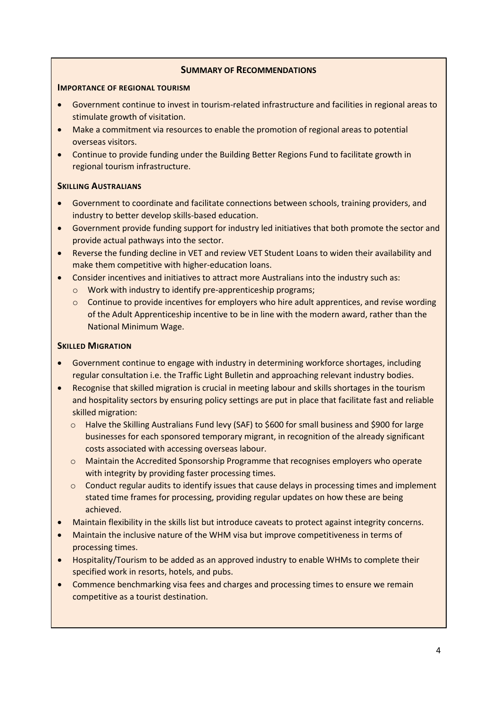#### **SUMMARY OF RECOMMENDATIONS**

#### **IMPORTANCE OF REGIONAL TOURISM**

- Government continue to invest in tourism-related infrastructure and facilities in regional areas to stimulate growth of visitation.
- Make a commitment via resources to enable the promotion of regional areas to potential overseas visitors.
- Continue to provide funding under the Building Better Regions Fund to facilitate growth in regional tourism infrastructure.

#### **SKILLING AUSTRALIANS**

- Government to coordinate and facilitate connections between schools, training providers, and industry to better develop skills-based education.
- Government provide funding support for industry led initiatives that both promote the sector and provide actual pathways into the sector.
- Reverse the funding decline in VET and review VET Student Loans to widen their availability and make them competitive with higher-education loans.
- Consider incentives and initiatives to attract more Australians into the industry such as:
	- o Work with industry to identify pre-apprenticeship programs;
	- o Continue to provide incentives for employers who hire adult apprentices, and revise wording of the Adult Apprenticeship incentive to be in line with the modern award, rather than the National Minimum Wage.

#### **SKILLED MIGRATION**

- Government continue to engage with industry in determining workforce shortages, including regular consultation i.e. the Traffic Light Bulletin and approaching relevant industry bodies.
- Recognise that skilled migration is crucial in meeting labour and skills shortages in the tourism and hospitality sectors by ensuring policy settings are put in place that facilitate fast and reliable skilled migration:
	- o Halve the Skilling Australians Fund levy (SAF) to \$600 for small business and \$900 for large businesses for each sponsored temporary migrant, in recognition of the already significant costs associated with accessing overseas labour.
	- o Maintain the Accredited Sponsorship Programme that recognises employers who operate with integrity by providing faster processing times.
	- $\circ$  Conduct regular audits to identify issues that cause delays in processing times and implement stated time frames for processing, providing regular updates on how these are being achieved.
- Maintain flexibility in the skills list but introduce caveats to protect against integrity concerns.
- Maintain the inclusive nature of the WHM visa but improve competitiveness in terms of processing times.
- Hospitality/Tourism to be added as an approved industry to enable WHMs to complete their specified work in resorts, hotels, and pubs.
- Commence benchmarking visa fees and charges and processing times to ensure we remain competitive as a tourist destination.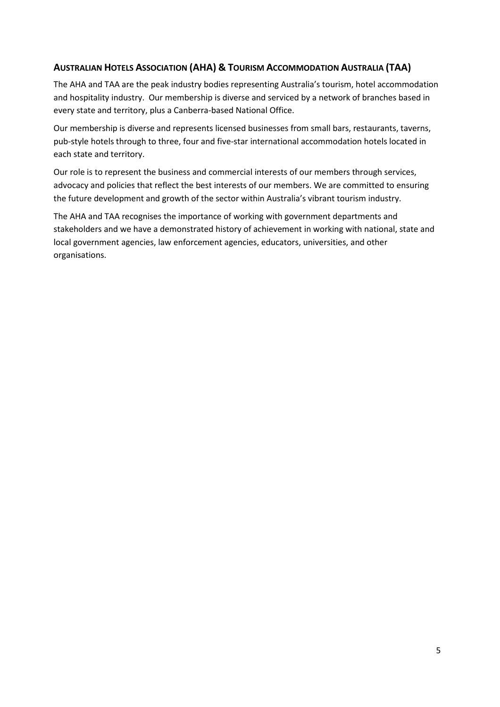#### <span id="page-4-0"></span>**AUSTRALIAN HOTELS ASSOCIATION (AHA) & TOURISM ACCOMMODATION AUSTRALIA (TAA)**

The AHA and TAA are the peak industry bodies representing Australia's tourism, hotel accommodation and hospitality industry. Our membership is diverse and serviced by a network of branches based in every state and territory, plus a Canberra-based National Office.

Our membership is diverse and represents licensed businesses from small bars, restaurants, taverns, pub-style hotels through to three, four and five-star international accommodation hotels located in each state and territory.

Our role is to represent the business and commercial interests of our members through services, advocacy and policies that reflect the best interests of our members. We are committed to ensuring the future development and growth of the sector within Australia's vibrant tourism industry.

The AHA and TAA recognises the importance of working with government departments and stakeholders and we have a demonstrated history of achievement in working with national, state and local government agencies, law enforcement agencies, educators, universities, and other organisations.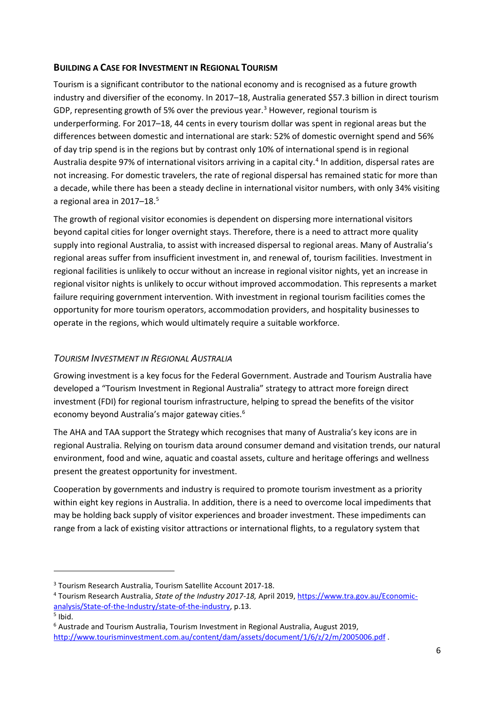#### <span id="page-5-0"></span>**BUILDING A CASE FOR INVESTMENT IN REGIONAL TOURISM**

Tourism is a significant contributor to the national economy and is recognised as a future growth industry and diversifier of the economy. In 2017–18, Australia generated \$57.3 billion in direct tourism GDP, representing growth of 5% over the previous year. [3](#page-5-2) However, regional tourism is underperforming. For 2017–18, 44 cents in every tourism dollar was spent in regional areas but the differences between domestic and international are stark: 52% of domestic overnight spend and 56% of day trip spend is in the regions but by contrast only 10% of international spend is in regional Australia despite 97% of international visitors arriving in a capital city. [4](#page-5-3) In addition, dispersal rates are not increasing. For domestic travelers, the rate of regional dispersal has remained static for more than a decade, while there has been a steady decline in international visitor numbers, with only 34% visiting a regional area in 2017-18.<sup>[5](#page-5-4)</sup>

The growth of regional visitor economies is dependent on dispersing more international visitors beyond capital cities for longer overnight stays. Therefore, there is a need to attract more quality supply into regional Australia, to assist with increased dispersal to regional areas. Many of Australia's regional areas suffer from insufficient investment in, and renewal of, tourism facilities. Investment in regional facilities is unlikely to occur without an increase in regional visitor nights, yet an increase in regional visitor nights is unlikely to occur without improved accommodation. This represents a market failure requiring government intervention. With investment in regional tourism facilities comes the opportunity for more tourism operators, accommodation providers, and hospitality businesses to operate in the regions, which would ultimately require a suitable workforce.

#### <span id="page-5-1"></span>*TOURISM INVESTMENT IN REGIONAL AUSTRALIA*

Growing investment is a key focus for the Federal Government. Austrade and Tourism Australia have developed a "Tourism Investment in Regional Australia" strategy to attract more foreign direct investment (FDI) for regional tourism infrastructure, helping to spread the benefits of the visitor economy beyond Australia's major gateway cities.[6](#page-5-5)

The AHA and TAA support the Strategy which recognises that many of Australia's key icons are in regional Australia. Relying on tourism data around consumer demand and visitation trends, our natural environment, food and wine, aquatic and coastal assets, culture and heritage offerings and wellness present the greatest opportunity for investment.

Cooperation by governments and industry is required to promote tourism investment as a priority within eight key regions in Australia. In addition, there is a need to overcome local impediments that may be holding back supply of visitor experiences and broader investment. These impediments can range from a lack of existing visitor attractions or international flights, to a regulatory system that

<span id="page-5-2"></span><sup>3</sup> Tourism Research Australia, Tourism Satellite Account 2017-18.

<span id="page-5-3"></span><sup>4</sup> Tourism Research Australia, *State of the Industry 2017-18,* April 2019, [https://www.tra.gov.au/Economic](https://www.tra.gov.au/Economic-analysis/State-of-the-Industry/state-of-the-industry)[analysis/State-of-the-Industry/state-of-the-industry,](https://www.tra.gov.au/Economic-analysis/State-of-the-Industry/state-of-the-industry) p.13.<br><sup>5</sup> Ibid.

<span id="page-5-4"></span>

<span id="page-5-5"></span><sup>6</sup> Austrade and Tourism Australia, Tourism Investment in Regional Australia, August 2019, <http://www.tourisminvestment.com.au/content/dam/assets/document/1/6/z/2/m/2005006.pdf> .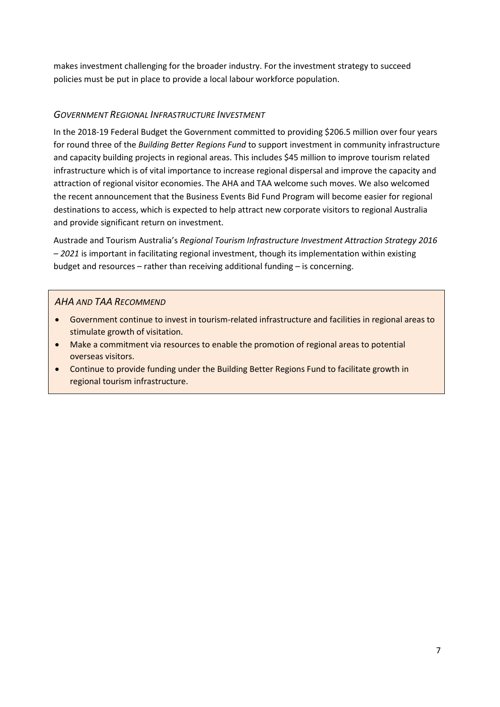makes investment challenging for the broader industry. For the investment strategy to succeed policies must be put in place to provide a local labour workforce population.

#### <span id="page-6-0"></span>*GOVERNMENT REGIONAL INFRASTRUCTURE INVESTMENT*

In the 2018-19 Federal Budget the Government committed to providing \$206.5 million over four years for round three of the *Building Better Regions Fund* to support investment in community infrastructure and capacity building projects in regional areas. This includes \$45 million to improve tourism related infrastructure which is of vital importance to increase regional dispersal and improve the capacity and attraction of regional visitor economies. The AHA and TAA welcome such moves. We also welcomed the recent announcement that the Business Events Bid Fund Program will become easier for regional destinations to access, which is expected to help attract new corporate visitors to regional Australia and provide significant return on investment.

Austrade and Tourism Australia's *Regional Tourism Infrastructure Investment Attraction Strategy 2016 – 2021* is important in facilitating regional investment, though its implementation within existing budget and resources – rather than receiving additional funding – is concerning.

#### *AHA AND TAA RECOMMEND*

- Government continue to invest in tourism-related infrastructure and facilities in regional areas to stimulate growth of visitation.
- Make a commitment via resources to enable the promotion of regional areas to potential overseas visitors.
- Continue to provide funding under the Building Better Regions Fund to facilitate growth in regional tourism infrastructure.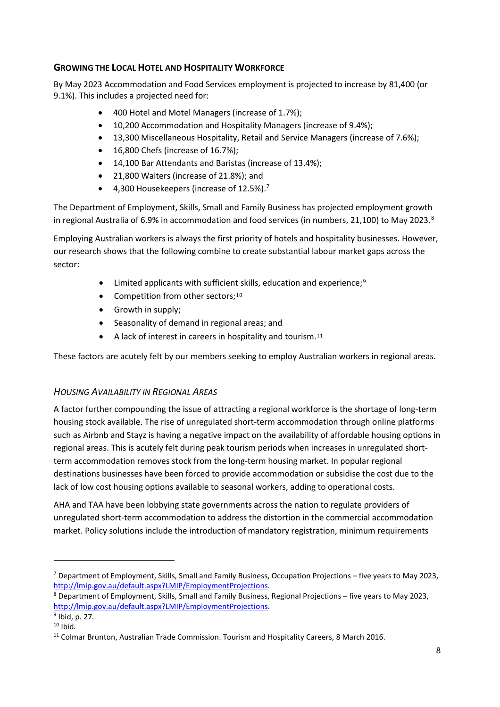#### <span id="page-7-0"></span>**GROWING THE LOCAL HOTEL AND HOSPITALITY WORKFORCE**

By May 2023 Accommodation and Food Services employment is projected to increase by 81,400 (or 9.1%). This includes a projected need for:

- 400 Hotel and Motel Managers (increase of 1.7%);
- 10,200 Accommodation and Hospitality Managers (increase of 9.4%);
- 13,300 Miscellaneous Hospitality, Retail and Service Managers (increase of 7.6%);
- 16,800 Chefs (increase of 16.7%);
- 14,100 Bar Attendants and Baristas (increase of 13.4%);
- 21,800 Waiters (increase of 21.8%); and
- 4,300 Housekeepers (increase of  $12.5\%$ ).<sup>[7](#page-7-2)</sup>

The Department of Employment, Skills, Small and Family Business has projected employment growth in regional Australia of 6.9% in accommodation and food services (in numbers, 21,100) to May 2023. $8$ 

Employing Australian workers is always the first priority of hotels and hospitality businesses. However, our research shows that the following combine to create substantial labour market gaps across the sector:

- Limited applicants with sufficient skills, education and experience;<sup>[9](#page-7-4)</sup>
- Competition from other sectors; $10$
- Growth in supply;
- Seasonality of demand in regional areas; and
- A lack of interest in careers in hospitality and tourism.  $11$

These factors are acutely felt by our members seeking to employ Australian workers in regional areas.

#### <span id="page-7-1"></span>*HOUSING AVAILABILITY IN REGIONAL AREAS*

A factor further compounding the issue of attracting a regional workforce is the shortage of long-term housing stock available. The rise of unregulated short-term accommodation through online platforms such as Airbnb and Stayz is having a negative impact on the availability of affordable housing options in regional areas. This is acutely felt during peak tourism periods when increases in unregulated shortterm accommodation removes stock from the long-term housing market. In popular regional destinations businesses have been forced to provide accommodation or subsidise the cost due to the lack of low cost housing options available to seasonal workers, adding to operational costs.

AHA and TAA have been lobbying state governments across the nation to regulate providers of unregulated short-term accommodation to address the distortion in the commercial accommodation market. Policy solutions include the introduction of mandatory registration, minimum requirements

 $\overline{a}$ 

<span id="page-7-2"></span><sup>7</sup> Department of Employment, Skills, Small and Family Business, Occupation Projections – five years to May 2023, [http://lmip.gov.au/default.aspx?LMIP/EmploymentProjections.](http://lmip.gov.au/default.aspx?LMIP/EmploymentProjections)

<span id="page-7-3"></span><sup>8</sup> Department of Employment, Skills, Small and Family Business, Regional Projections – five years to May 2023, [http://lmip.gov.au/default.aspx?LMIP/EmploymentProjections.](http://lmip.gov.au/default.aspx?LMIP/EmploymentProjections) 9 Ibid, p. 27*.*

<span id="page-7-5"></span><span id="page-7-4"></span><sup>10</sup> Ibid*.*

<span id="page-7-6"></span> $11$  Colmar Brunton, Australian Trade Commission. Tourism and Hospitality Careers, 8 March 2016.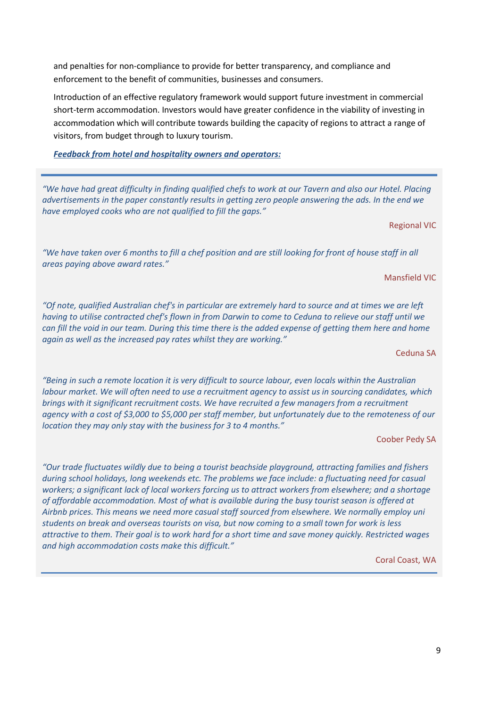and penalties for non-compliance to provide for better transparency, and compliance and enforcement to the benefit of communities, businesses and consumers.

Introduction of an effective regulatory framework would support future investment in commercial short-term accommodation. Investors would have greater confidence in the viability of investing in accommodation which will contribute towards building the capacity of regions to attract a range of visitors, from budget through to luxury tourism.

*Feedback from hotel and hospitality owners and operators:* 

*"We have had great difficulty in finding qualified chefs to work at our Tavern and also our Hotel. Placing advertisements in the paper constantly results in getting zero people answering the ads. In the end we have employed cooks who are not qualified to fill the gaps."*

#### Regional VIC

*"We have taken over 6 months to fill a chef position and are still looking for front of house staff in all areas paying above award rates."*

#### Mansfield VIC

*"Of note, qualified Australian chef's in particular are extremely hard to source and at times we are left having to utilise contracted chef's flown in from Darwin to come to Ceduna to relieve our staff until we can fill the void in our team. During this time there is the added expense of getting them here and home again as well as the increased pay rates whilst they are working."* 

Ceduna SA

*"Being in such a remote location it is very difficult to source labour, even locals within the Australian labour market. We will often need to use a recruitment agency to assist us in sourcing candidates, which brings with it significant recruitment costs. We have recruited a few managers from a recruitment agency with a cost of \$3,000 to \$5,000 per staff member, but unfortunately due to the remoteness of our location they may only stay with the business for 3 to 4 months."*

Coober Pedy SA

*"Our trade fluctuates wildly due to being a tourist beachside playground, attracting families and fishers during school holidays, long weekends etc. The problems we face include: a fluctuating need for casual workers; a significant lack of local workers forcing us to attract workers from elsewhere; and a shortage of affordable accommodation. Most of what is available during the busy tourist season is offered at Airbnb prices. This means we need more casual staff sourced from elsewhere. We normally employ uni students on break and overseas tourists on visa, but now coming to a small town for work is less attractive to them. Their goal is to work hard for a short time and save money quickly. Restricted wages and high accommodation costs make this difficult."*

Coral Coast, WA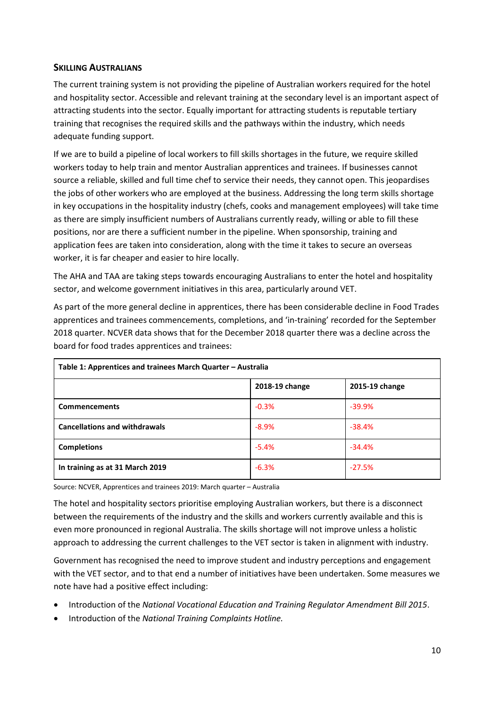#### <span id="page-9-0"></span>**SKILLING AUSTRALIANS**

The current training system is not providing the pipeline of Australian workers required for the hotel and hospitality sector. Accessible and relevant training at the secondary level is an important aspect of attracting students into the sector. Equally important for attracting students is reputable tertiary training that recognises the required skills and the pathways within the industry, which needs adequate funding support.

If we are to build a pipeline of local workers to fill skills shortages in the future, we require skilled workers today to help train and mentor Australian apprentices and trainees. If businesses cannot source a reliable, skilled and full time chef to service their needs, they cannot open. This jeopardises the jobs of other workers who are employed at the business. Addressing the long term skills shortage in key occupations in the hospitality industry (chefs, cooks and management employees) will take time as there are simply insufficient numbers of Australians currently ready, willing or able to fill these positions, nor are there a sufficient number in the pipeline. When sponsorship, training and application fees are taken into consideration, along with the time it takes to secure an overseas worker, it is far cheaper and easier to hire locally.

The AHA and TAA are taking steps towards encouraging Australians to enter the hotel and hospitality sector, and welcome government initiatives in this area, particularly around VET.

As part of the more general decline in apprentices, there has been considerable decline in Food Trades apprentices and trainees commencements, completions, and 'in-training' recorded for the September 2018 quarter. NCVER data shows that for the December 2018 quarter there was a decline across the board for food trades apprentices and trainees:

| Table 1: Apprentices and trainees March Quarter - Australia |                |                |  |  |  |
|-------------------------------------------------------------|----------------|----------------|--|--|--|
|                                                             | 2018-19 change | 2015-19 change |  |  |  |
| <b>Commencements</b>                                        | $-0.3%$        | $-39.9%$       |  |  |  |
| <b>Cancellations and withdrawals</b>                        | $-8.9%$        | $-38.4%$       |  |  |  |
| <b>Completions</b>                                          | $-5.4%$        | $-34.4%$       |  |  |  |
| In training as at 31 March 2019                             | $-6.3%$        | $-27.5%$       |  |  |  |

Source: NCVER, Apprentices and trainees 2019: March quarter – Australia

The hotel and hospitality sectors prioritise employing Australian workers, but there is a disconnect between the requirements of the industry and the skills and workers currently available and this is even more pronounced in regional Australia. The skills shortage will not improve unless a holistic approach to addressing the current challenges to the VET sector is taken in alignment with industry.

Government has recognised the need to improve student and industry perceptions and engagement with the VET sector, and to that end a number of initiatives have been undertaken. Some measures we note have had a positive effect including:

- Introduction of the *National Vocational Education and Training Regulator Amendment Bill 2015*.
- Introduction of the *National Training Complaints Hotline.*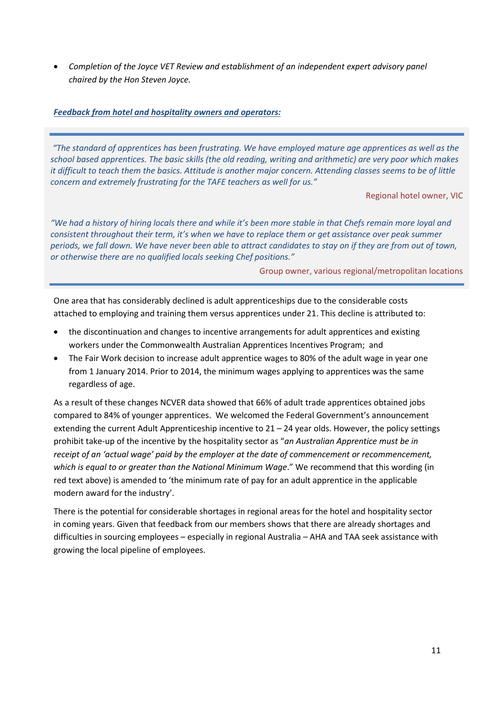• *Completion of the Joyce VET Review and establishment of an independent expert advisory panel chaired by the Hon Steven Joyce.*

#### *Feedback from hotel and hospitality owners and operators:*

*"The standard of apprentices has been frustrating. We have employed mature age apprentices as well as the school based apprentices. The basic skills (the old reading, writing and arithmetic) are very poor which makes it difficult to teach them the basics. Attitude is another major concern. Attending classes seems to be of little concern and extremely frustrating for the TAFE teachers as well for us."*

Regional hotel owner, VIC

*"We had a history of hiring locals there and while it's been more stable in that Chefs remain more loyal and consistent throughout their term, it's when we have to replace them or get assistance over peak summer periods, we fall down. We have never been able to attract candidates to stay on if they are from out of town, or otherwise there are no qualified locals seeking Chef positions."*

Group owner, various regional/metropolitan locations

One area that has considerably declined is adult apprenticeships due to the considerable costs attached to employing and training them versus apprentices under 21. This decline is attributed to:

- the discontinuation and changes to incentive arrangements for adult apprentices and existing workers under the Commonwealth Australian Apprentices Incentives Program; and
- The Fair Work decision to increase adult apprentice wages to 80% of the adult wage in year one from 1 January 2014. Prior to 2014, the minimum wages applying to apprentices was the same regardless of age.

As a result of these changes NCVER data showed that 66% of adult trade apprentices obtained jobs compared to 84% of younger apprentices. We welcomed the Federal Government's announcement extending the current Adult Apprenticeship incentive to 21 – 24 year olds. However, the policy settings prohibit take-up of the incentive by the hospitality sector as "*an Australian Apprentice must be in receipt of an 'actual wage' paid by the employer at the date of commencement or recommencement, which is equal to or greater than the National Minimum Wage*." We recommend that this wording (in red text above) is amended to 'the minimum rate of pay for an adult apprentice in the applicable modern award for the industry'.

There is the potential for considerable shortages in regional areas for the hotel and hospitality sector in coming years. Given that feedback from our members shows that there are already shortages and difficulties in sourcing employees – especially in regional Australia – AHA and TAA seek assistance with growing the local pipeline of employees.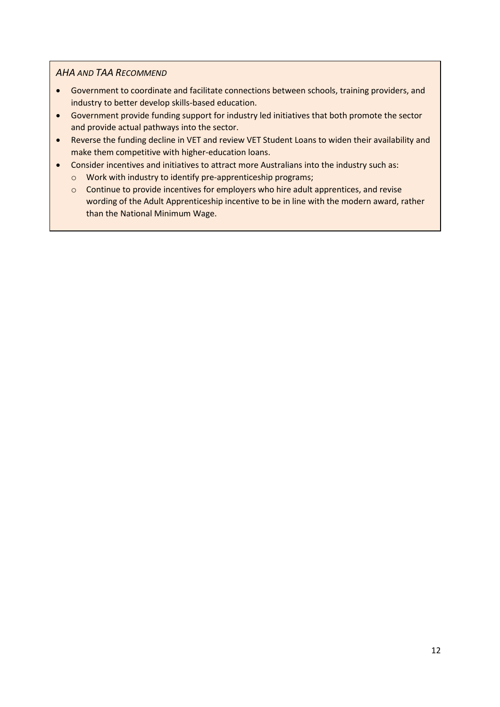#### *AHA AND TAA RECOMMEND*

- Government to coordinate and facilitate connections between schools, training providers, and industry to better develop skills-based education.
- Government provide funding support for industry led initiatives that both promote the sector and provide actual pathways into the sector.
- Reverse the funding decline in VET and review VET Student Loans to widen their availability and make them competitive with higher-education loans.
- Consider incentives and initiatives to attract more Australians into the industry such as:
	- o Work with industry to identify pre-apprenticeship programs;
	- o Continue to provide incentives for employers who hire adult apprentices, and revise wording of the Adult Apprenticeship incentive to be in line with the modern award, rather than the National Minimum Wage.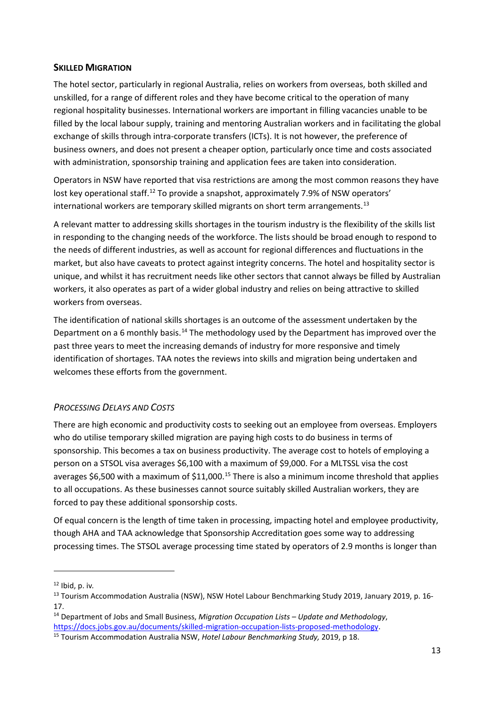#### <span id="page-12-0"></span>**SKILLED MIGRATION**

The hotel sector, particularly in regional Australia, relies on workers from overseas, both skilled and unskilled, for a range of different roles and they have become critical to the operation of many regional hospitality businesses. International workers are important in filling vacancies unable to be filled by the local labour supply, training and mentoring Australian workers and in facilitating the global exchange of skills through intra-corporate transfers (ICTs). It is not however, the preference of business owners, and does not present a cheaper option, particularly once time and costs associated with administration, sponsorship training and application fees are taken into consideration.

Operators in NSW have reported that visa restrictions are among the most common reasons they have lost key operational staff.<sup>[12](#page-12-2)</sup> To provide a snapshot, approximately 7.9% of NSW operators' international workers are temporary skilled migrants on short term arrangements. [13](#page-12-3)

A relevant matter to addressing skills shortages in the tourism industry is the flexibility of the skills list in responding to the changing needs of the workforce. The lists should be broad enough to respond to the needs of different industries, as well as account for regional differences and fluctuations in the market, but also have caveats to protect against integrity concerns. The hotel and hospitality sector is unique, and whilst it has recruitment needs like other sectors that cannot always be filled by Australian workers, it also operates as part of a wider global industry and relies on being attractive to skilled workers from overseas.

The identification of national skills shortages is an outcome of the assessment undertaken by the Department on a 6 monthly basis.<sup>[14](#page-12-4)</sup> The methodology used by the Department has improved over the past three years to meet the increasing demands of industry for more responsive and timely identification of shortages. TAA notes the reviews into skills and migration being undertaken and welcomes these efforts from the government.

#### <span id="page-12-1"></span>*PROCESSING DELAYS AND COSTS*

There are high economic and productivity costs to seeking out an employee from overseas. Employers who do utilise temporary skilled migration are paying high costs to do business in terms of sponsorship. This becomes a tax on business productivity. The average cost to hotels of employing a person on a STSOL visa averages \$6,100 with a maximum of \$9,000. For a MLTSSL visa the cost averages \$6,500 with a maximum of  $$11,000$ .<sup>[15](#page-12-5)</sup> There is also a minimum income threshold that applies to all occupations. As these businesses cannot source suitably skilled Australian workers, they are forced to pay these additional sponsorship costs.

Of equal concern is the length of time taken in processing, impacting hotel and employee productivity, though AHA and TAA acknowledge that Sponsorship Accreditation goes some way to addressing processing times. The STSOL average processing time stated by operators of 2.9 months is longer than

<span id="page-12-2"></span><sup>12</sup> Ibid, p. iv*.*

<span id="page-12-3"></span><sup>&</sup>lt;sup>13</sup> Tourism Accommodation Australia (NSW), NSW Hotel Labour Benchmarking Study 2019, January 2019, p. 16-17.

<span id="page-12-4"></span><sup>14</sup> Department of Jobs and Small Business, *Migration Occupation Lists – Update and Methodology*, [https://docs.jobs.gov.au/documents/skilled-migration-occupation-lists-proposed-methodology.](https://docs.jobs.gov.au/documents/skilled-migration-occupation-lists-proposed-methodology) 15 Tourism Accommodation Australia NSW, *Hotel Labour Benchmarking Study,* 2019, p 18.

<span id="page-12-5"></span>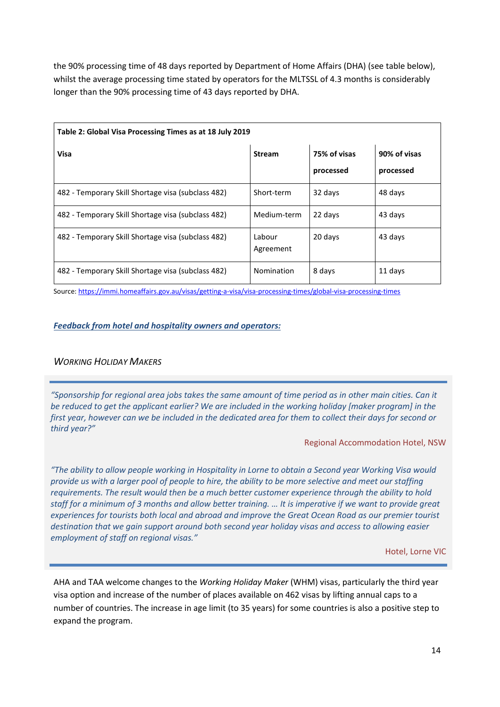the 90% processing time of 48 days reported by Department of Home Affairs (DHA) (see table below), whilst the average processing time stated by operators for the MLTSSL of 4.3 months is considerably longer than the 90% processing time of 43 days reported by DHA.

| Table 2: Global Visa Processing Times as at 18 July 2019 |                     |                           |                           |  |  |  |
|----------------------------------------------------------|---------------------|---------------------------|---------------------------|--|--|--|
| Visa                                                     | <b>Stream</b>       | 75% of visas<br>processed | 90% of visas<br>processed |  |  |  |
| 482 - Temporary Skill Shortage visa (subclass 482)       | Short-term          | 32 days                   | 48 days                   |  |  |  |
| 482 - Temporary Skill Shortage visa (subclass 482)       | Medium-term         | 22 days                   | 43 days                   |  |  |  |
| 482 - Temporary Skill Shortage visa (subclass 482)       | Labour<br>Agreement | 20 days                   | 43 days                   |  |  |  |
| 482 - Temporary Skill Shortage visa (subclass 482)       | Nomination          | 8 days                    | 11 days                   |  |  |  |

Source[: https://immi.homeaffairs.gov.au/visas/getting-a-visa/visa-processing-times/global-visa-processing-times](https://immi.homeaffairs.gov.au/visas/getting-a-visa/visa-processing-times/global-visa-processing-times)

#### *Feedback from hotel and hospitality owners and operators:*

#### <span id="page-13-0"></span>*WORKING HOLIDAY MAKERS*

*"Sponsorship for regional area jobs takes the same amount of time period as in other main cities. Can it be reduced to get the applicant earlier? We are included in the working holiday [maker program] in the first year, however can we be included in the dedicated area for them to collect their days for second or third year?"*

#### Regional Accommodation Hotel, NSW

*"The ability to allow people working in Hospitality in Lorne to obtain a Second year Working Visa would provide us with a larger pool of people to hire, the ability to be more selective and meet our staffing requirements. The result would then be a much better customer experience through the ability to hold staff for a minimum of 3 months and allow better training. … It is imperative if we want to provide great experiences for tourists both local and abroad and improve the Great Ocean Road as our premier tourist destination that we gain support around both second year holiday visas and access to allowing easier employment of staff on regional visas."*

Hotel, Lorne VIC

AHA and TAA welcome changes to the *Working Holiday Maker* (WHM) visas, particularly the third year visa option and increase of the number of places available on 462 visas by lifting annual caps to a number of countries. The increase in age limit (to 35 years) for some countries is also a positive step to expand the program.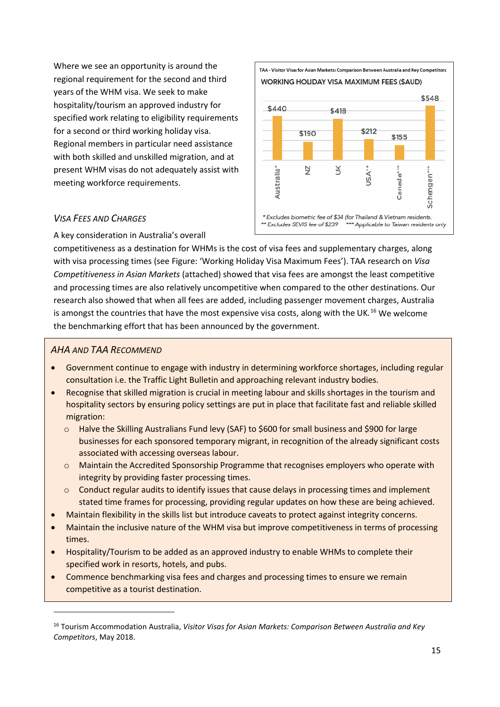Where we see an opportunity is around the regional requirement for the second and third years of the WHM visa. We seek to make hospitality/tourism an approved industry for specified work relating to eligibility requirements for a second or third working holiday visa. Regional members in particular need assistance with both skilled and unskilled migration, and at present WHM visas do not adequately assist with meeting workforce requirements.



#### <span id="page-14-0"></span>*VISA FEES AND CHARGES*

A key consideration in Australia's overall

competitiveness as a destination for WHMs is the cost of visa fees and supplementary charges, along with visa processing times (see Figure: 'Working Holiday Visa Maximum Fees'). TAA research on *Visa Competitiveness in Asian Markets* (attached) showed that visa fees are amongst the least competitive and processing times are also relatively uncompetitive when compared to the other destinations. Our research also showed that when all fees are added, including passenger movement charges, Australia is amongst the countries that have the most expensive visa costs, along with the UK*.* [16](#page-14-1) We welcome the benchmarking effort that has been announced by the government.

#### *AHA AND TAA RECOMMEND*

- Government continue to engage with industry in determining workforce shortages, including regular consultation i.e. the Traffic Light Bulletin and approaching relevant industry bodies.
- Recognise that skilled migration is crucial in meeting labour and skills shortages in the tourism and hospitality sectors by ensuring policy settings are put in place that facilitate fast and reliable skilled migration:
	- $\circ$  Halve the Skilling Australians Fund levy (SAF) to \$600 for small business and \$900 for large businesses for each sponsored temporary migrant, in recognition of the already significant costs associated with accessing overseas labour.
	- o Maintain the Accredited Sponsorship Programme that recognises employers who operate with integrity by providing faster processing times.
	- o Conduct regular audits to identify issues that cause delays in processing times and implement stated time frames for processing, providing regular updates on how these are being achieved.
- Maintain flexibility in the skills list but introduce caveats to protect against integrity concerns.
- Maintain the inclusive nature of the WHM visa but improve competitiveness in terms of processing times.
- Hospitality/Tourism to be added as an approved industry to enable WHMs to complete their specified work in resorts, hotels, and pubs.
- Commence benchmarking visa fees and charges and processing times to ensure we remain competitive as a tourist destination.

<span id="page-14-1"></span><sup>16</sup> Tourism Accommodation Australia, *Visitor Visas for Asian Markets: Comparison Between Australia and Key Competitors*, May 2018.